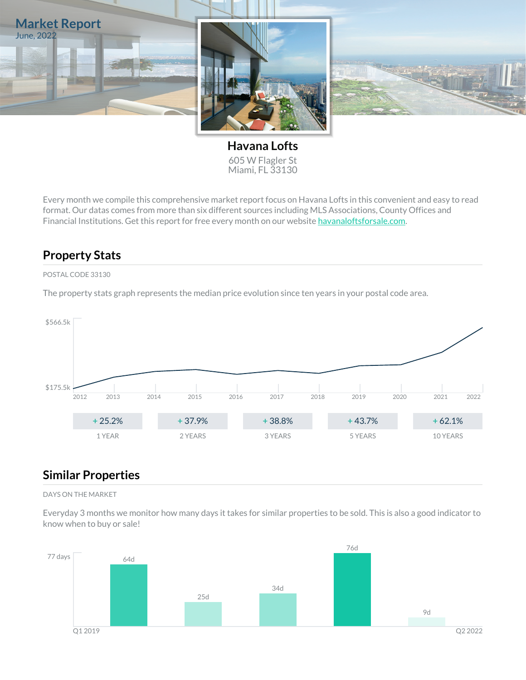

**Havana Lofts** 605 W Flagler St Miami, FL 33130

Every month we compile this comprehensive market report focus on Havana Lofts in this convenient and easy to read format. Our datas comes from more than six different sources including MLS Associations, County Offices and Financial Institutions. Get this report for free every month on our website [havanaloftsforsale.com](https://havanaloftsforsale.com).

## **Property Stats**

### POSTAL CODE 33130

The property stats graph represents the median price evolution since ten years in your postal code area.



### **Similar Properties**

#### DAYS ON THE MARKET

Everyday 3 months we monitor how many days it takes for similar properties to be sold. This is also a good indicator to know when to buy or sale!

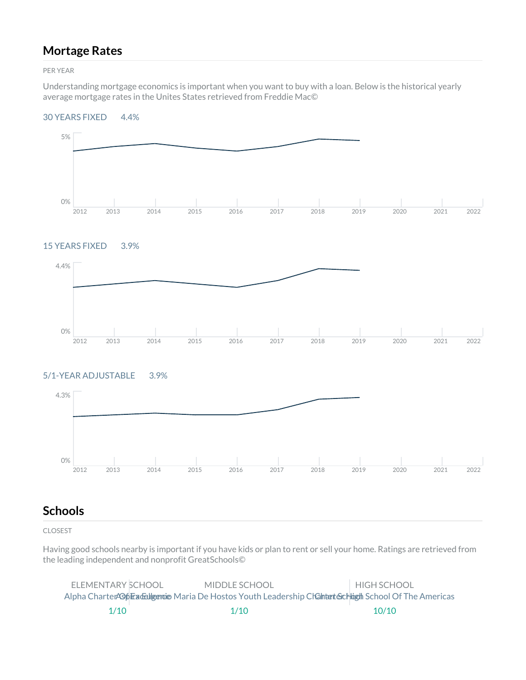## **Mortage Rates**

PER YEAR

Understanding mortgage economics is important when you want to buy with a loan. Below is the historical yearly average mortgage rates in the Unites States retrieved from Freddie Mac©

#### 30 YEARS FIXED 4.4%



### 15 YEARS FIXED 3.9%



### 5/1-YEAR ADJUSTABLE 3.9%



## **Schools**

CLOSEST

Having good schools nearby is important if you have kids or plan to rent or sell your home. Ratings are retrieved from the leading independent and nonprofit GreatSchools©

| ELEMENTARY SCHOOL | MIDDLE SCHOOL                                                                                            | <b>HIGH SCHOOL</b> |
|-------------------|----------------------------------------------------------------------------------------------------------|--------------------|
|                   | Alpha Charter 496 Excelle enties Maria De Hostos Youth Leadership Chantert Gchost School Of The Americas |                    |
| 1/10              | 1/10                                                                                                     | 10/10              |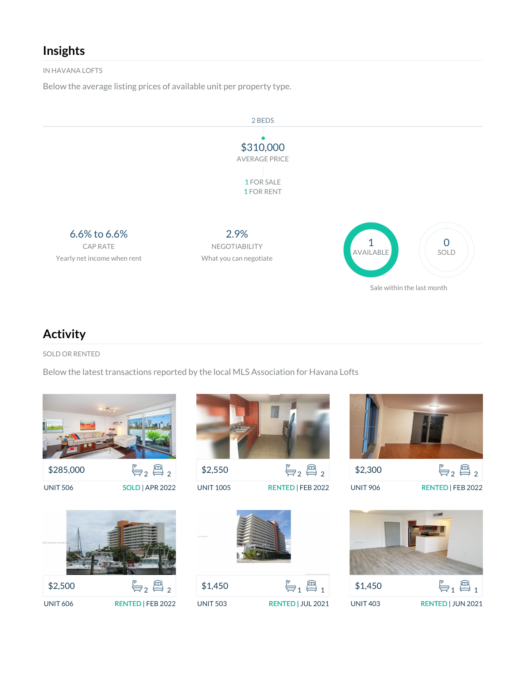## **Insights**

IN HAVANA LOFTS

Below the average listing prices of available unit per property type.



## **Activity**

SOLD OR RENTED

Below the latest transactions reported by the local MLS Association for Havana Lofts









UNIT 906 RENTED | FEB 2022







UNIT 503 RENTED | JUL 2021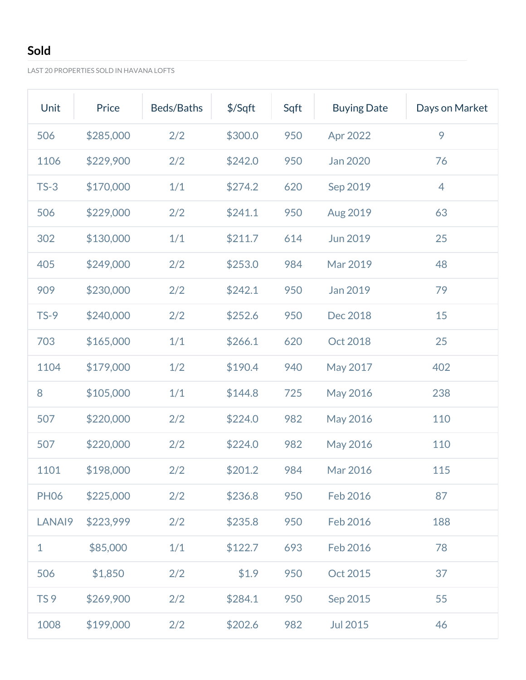# **Sold**

LAST 20 PROPERTIES SOLD IN HAVANA LOFTS

| Unit            | Price     | Beds/Baths | \$/Sqft | Sqft | <b>Buying Date</b> | Days on Market |
|-----------------|-----------|------------|---------|------|--------------------|----------------|
| 506             | \$285,000 | 2/2        | \$300.0 | 950  | Apr 2022           | 9              |
| 1106            | \$229,900 | 2/2        | \$242.0 | 950  | Jan 2020           | 76             |
| $TS-3$          | \$170,000 | 1/1        | \$274.2 | 620  | Sep 2019           | $\overline{4}$ |
| 506             | \$229,000 | 2/2        | \$241.1 | 950  | Aug 2019           | 63             |
| 302             | \$130,000 | 1/1        | \$211.7 | 614  | Jun 2019           | 25             |
| 405             | \$249,000 | 2/2        | \$253.0 | 984  | Mar 2019           | 48             |
| 909             | \$230,000 | 2/2        | \$242.1 | 950  | Jan 2019           | 79             |
| $TS-9$          | \$240,000 | 2/2        | \$252.6 | 950  | Dec 2018           | 15             |
| 703             | \$165,000 | 1/1        | \$266.1 | 620  | Oct 2018           | 25             |
| 1104            | \$179,000 | 1/2        | \$190.4 | 940  | May 2017           | 402            |
| 8               | \$105,000 | 1/1        | \$144.8 | 725  | May 2016           | 238            |
| 507             | \$220,000 | 2/2        | \$224.0 | 982  | May 2016           | 110            |
| 507             | \$220,000 | 2/2        | \$224.0 | 982  | May 2016           | 110            |
| 1101            | \$198,000 | 2/2        | \$201.2 | 984  | Mar 2016           | 115            |
| <b>PH06</b>     | \$225,000 | 2/2        | \$236.8 | 950  | Feb 2016           | 87             |
| LANAI9          | \$223,999 | 2/2        | \$235.8 | 950  | Feb 2016           | 188            |
| 1               | \$85,000  | 1/1        | \$122.7 | 693  | Feb 2016           | 78             |
| 506             | \$1,850   | 2/2        | \$1.9   | 950  | Oct 2015           | 37             |
| TS <sub>9</sub> | \$269,900 | 2/2        | \$284.1 | 950  | Sep 2015           | 55             |
| 1008            | \$199,000 | 2/2        | \$202.6 | 982  | <b>Jul 2015</b>    | 46             |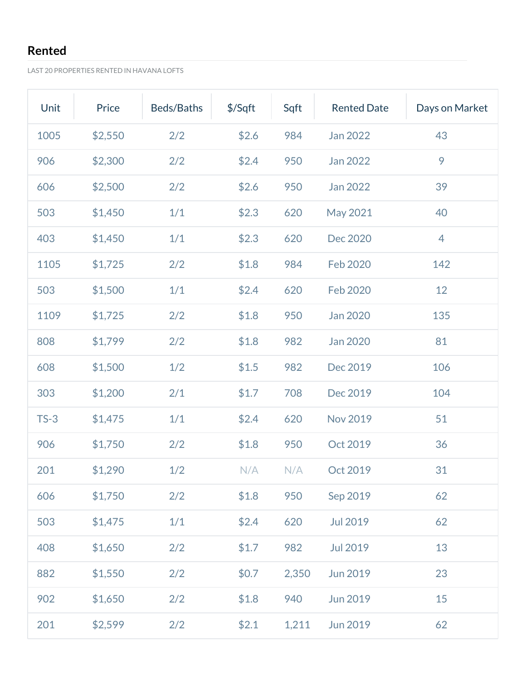# **Rented**

LAST 20 PROPERTIES RENTED IN HAVANA LOFTS

| Unit   | Price   | Beds/Baths | \$/Sqft | Sqft  | <b>Rented Date</b> | Days on Market |
|--------|---------|------------|---------|-------|--------------------|----------------|
| 1005   | \$2,550 | 2/2        | \$2.6   | 984   | Jan 2022           | 43             |
| 906    | \$2,300 | 2/2        | \$2.4   | 950   | Jan 2022           | 9              |
| 606    | \$2,500 | 2/2        | \$2.6   | 950   | Jan 2022           | 39             |
| 503    | \$1,450 | 1/1        | \$2.3   | 620   | May 2021           | 40             |
| 403    | \$1,450 | 1/1        | \$2.3   | 620   | Dec 2020           | 4              |
| 1105   | \$1,725 | 2/2        | \$1.8   | 984   | Feb 2020           | 142            |
| 503    | \$1,500 | 1/1        | \$2.4   | 620   | <b>Feb 2020</b>    | 12             |
| 1109   | \$1,725 | 2/2        | \$1.8   | 950   | Jan 2020           | 135            |
| 808    | \$1,799 | 2/2        | \$1.8   | 982   | Jan 2020           | 81             |
| 608    | \$1,500 | 1/2        | \$1.5   | 982   | Dec 2019           | 106            |
| 303    | \$1,200 | 2/1        | \$1.7   | 708   | Dec 2019           | 104            |
| $TS-3$ | \$1,475 | 1/1        | \$2.4   | 620   | <b>Nov 2019</b>    | 51             |
| 906    | \$1,750 | 2/2        | \$1.8   | 950   | Oct 2019           | 36             |
| 201    | \$1,290 | 1/2        | N/A     | N/A   | Oct 2019           | 31             |
| 606    | \$1,750 | 2/2        | \$1.8   | 950   | Sep 2019           | 62             |
| 503    | \$1,475 | 1/1        | \$2.4   | 620   | Jul 2019           | 62             |
| 408    | \$1,650 | 2/2        | \$1.7   | 982   | Jul 2019           | 13             |
| 882    | \$1,550 | 2/2        | \$0.7   | 2,350 | Jun 2019           | 23             |
| 902    | \$1,650 | 2/2        | \$1.8   | 940   | <b>Jun 2019</b>    | 15             |
| 201    | \$2,599 | 2/2        | \$2.1   | 1,211 | Jun 2019           | 62             |